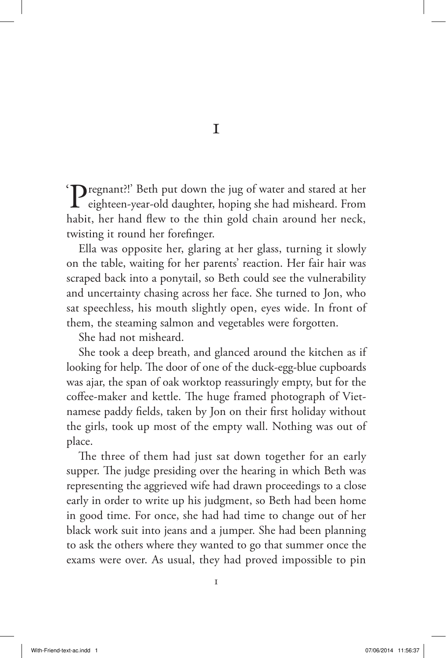'Tregnant?!' Beth put down the jug of water and stared at her Pregnant?!' Beth put down the jug of water and stared at her eighteen-year-old daughter, hoping she had misheard. From habit, her hand flew to the thin gold chain around her neck, twisting it round her forefinger.

1

Ella was opposite her, glaring at her glass, turning it slowly on the table, waiting for her parents' reaction. Her fair hair was scraped back into a ponytail, so Beth could see the vulnerability and uncertainty chasing across her face. She turned to Jon, who sat speechless, his mouth slightly open, eyes wide. In front of them, the steaming salmon and vegetables were forgotten.

She had not misheard.

She took a deep breath, and glanced around the kitchen as if looking for help. The door of one of the duck-egg-blue cupboards was ajar, the span of oak worktop reassuringly empty, but for the coffee-maker and kettle. The huge framed photograph of Vietnamese paddy fields, taken by Jon on their first holiday without the girls, took up most of the empty wall. Nothing was out of place.

The three of them had just sat down together for an early supper. The judge presiding over the hearing in which Beth was representing the aggrieved wife had drawn proceedings to a close early in order to write up his judgment, so Beth had been home in good time. For once, she had had time to change out of her black work suit into jeans and a jumper. She had been planning to ask the others where they wanted to go that summer once the exams were over. As usual, they had proved impossible to pin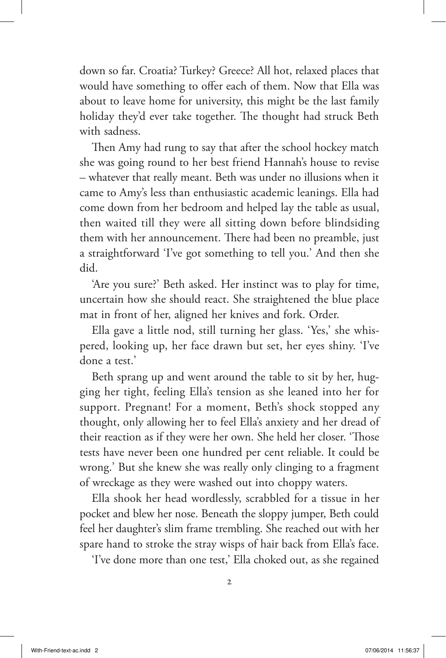down so far. Croatia? Turkey? Greece? All hot, relaxed places that would have something to offer each of them. Now that Ella was about to leave home for university, this might be the last family holiday they'd ever take together. The thought had struck Beth with sadness.

Then Amy had rung to say that after the school hockey match she was going round to her best friend Hannah's house to revise – whatever that really meant. Beth was under no illusions when it came to Amy's less than enthusiastic academic leanings. Ella had come down from her bedroom and helped lay the table as usual, then waited till they were all sitting down before blindsiding them with her announcement. There had been no preamble, just a straightforward 'I've got something to tell you.' And then she did.

'Are you sure?' Beth asked. Her instinct was to play for time, uncertain how she should react. She straightened the blue place mat in front of her, aligned her knives and fork. Order.

Ella gave a little nod, still turning her glass. 'Yes,' she whispered, looking up, her face drawn but set, her eyes shiny. 'I've done a test.'

Beth sprang up and went around the table to sit by her, hugging her tight, feeling Ella's tension as she leaned into her for support. Pregnant! For a moment, Beth's shock stopped any thought, only allowing her to feel Ella's anxiety and her dread of their reaction as if they were her own. She held her closer. 'Those tests have never been one hundred per cent reliable. It could be wrong.' But she knew she was really only clinging to a fragment of wreckage as they were washed out into choppy waters.

Ella shook her head wordlessly, scrabbled for a tissue in her pocket and blew her nose. Beneath the sloppy jumper, Beth could feel her daughter's slim frame trembling. She reached out with her spare hand to stroke the stray wisps of hair back from Ella's face.

'I've done more than one test,' Ella choked out, as she regained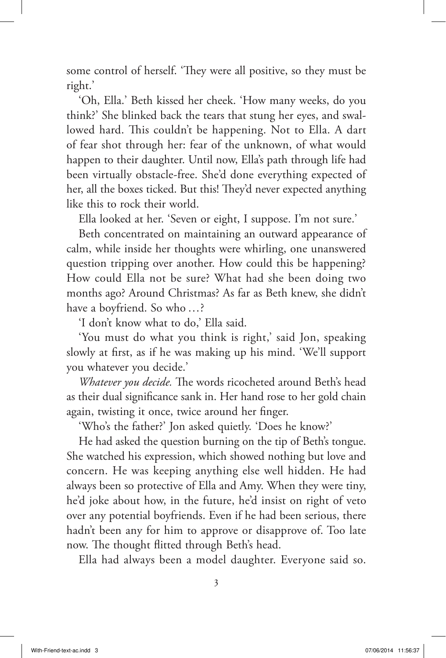some control of herself. 'They were all positive, so they must be right.'

'Oh, Ella.' Beth kissed her cheek. 'How many weeks, do you think?' She blinked back the tears that stung her eyes, and swallowed hard. This couldn't be happening. Not to Ella. A dart of fear shot through her: fear of the unknown, of what would happen to their daughter. Until now, Ella's path through life had been virtually obstacle-free. She'd done everything expected of her, all the boxes ticked. But this! They'd never expected anything like this to rock their world.

Ella looked at her. 'Seven or eight, I suppose. I'm not sure.'

Beth concentrated on maintaining an outward appearance of calm, while inside her thoughts were whirling, one unanswered question tripping over another. How could this be happening? How could Ella not be sure? What had she been doing two months ago? Around Christmas? As far as Beth knew, she didn't have a boyfriend. So who …?

'I don't know what to do,' Ella said.

'You must do what you think is right,' said Jon, speaking slowly at first, as if he was making up his mind. 'We'll support you whatever you decide.'

*Whatever you decide.* The words ricocheted around Beth's head as their dual significance sank in. Her hand rose to her gold chain again, twisting it once, twice around her finger.

'Who's the father?' Jon asked quietly. 'Does he know?'

He had asked the question burning on the tip of Beth's tongue. She watched his expression, which showed nothing but love and concern. He was keeping anything else well hidden. He had always been so protective of Ella and Amy. When they were tiny, he'd joke about how, in the future, he'd insist on right of veto over any potential boyfriends. Even if he had been serious, there hadn't been any for him to approve or disapprove of. Too late now. The thought flitted through Beth's head.

Ella had always been a model daughter. Everyone said so.

3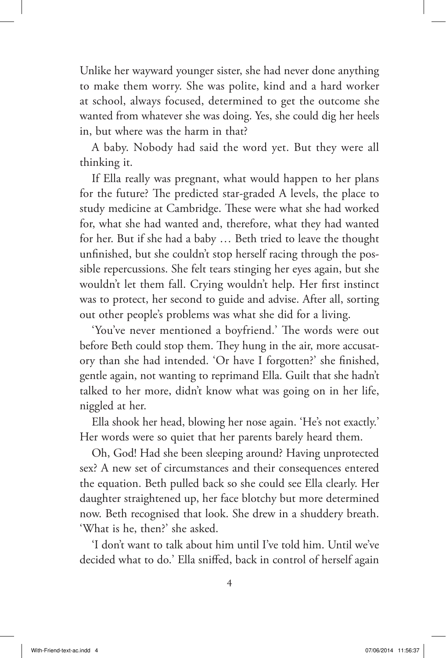Unlike her wayward younger sister, she had never done anything to make them worry. She was polite, kind and a hard worker at school, always focused, determined to get the outcome she wanted from whatever she was doing. Yes, she could dig her heels in, but where was the harm in that?

A baby. Nobody had said the word yet. But they were all thinking it.

If Ella really was pregnant, what would happen to her plans for the future? The predicted star-graded A levels, the place to study medicine at Cambridge. These were what she had worked for, what she had wanted and, therefore, what they had wanted for her. But if she had a baby … Beth tried to leave the thought unfinished, but she couldn't stop herself racing through the possible repercussions. She felt tears stinging her eyes again, but she wouldn't let them fall. Crying wouldn't help. Her first instinct was to protect, her second to guide and advise. After all, sorting out other people's problems was what she did for a living.

'You've never mentioned a boyfriend.' The words were out before Beth could stop them. They hung in the air, more accusatory than she had intended. 'Or have I forgotten?' she finished, gentle again, not wanting to reprimand Ella. Guilt that she hadn't talked to her more, didn't know what was going on in her life, niggled at her.

Ella shook her head, blowing her nose again. 'He's not exactly.' Her words were so quiet that her parents barely heard them.

Oh, God! Had she been sleeping around? Having unprotected sex? A new set of circumstances and their consequences entered the equation. Beth pulled back so she could see Ella clearly. Her daughter straightened up, her face blotchy but more determined now. Beth recognised that look. She drew in a shuddery breath. 'What is he, then?' she asked.

'I don't want to talk about him until I've told him. Until we've decided what to do.' Ella sniffed, back in control of herself again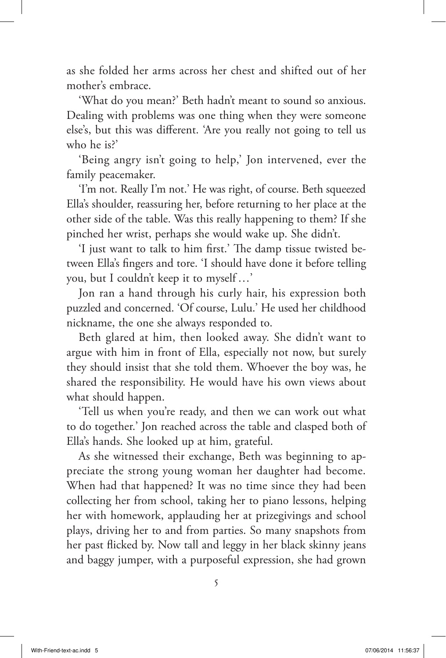as she folded her arms across her chest and shifted out of her mother's embrace.

'What do you mean?' Beth hadn't meant to sound so anxious. Dealing with problems was one thing when they were someone else's, but this was different. 'Are you really not going to tell us who he is?'

'Being angry isn't going to help,' Jon intervened, ever the family peacemaker.

'I'm not. Really I'm not.' He was right, of course. Beth squeezed Ella's shoulder, reassuring her, before returning to her place at the other side of the table. Was this really happening to them? If she pinched her wrist, perhaps she would wake up. She didn't.

'I just want to talk to him first.' The damp tissue twisted between Ella's fingers and tore. 'I should have done it before telling you, but I couldn't keep it to myself…'

Jon ran a hand through his curly hair, his expression both puzzled and concerned. 'Of course, Lulu.' He used her childhood nickname, the one she always responded to.

Beth glared at him, then looked away. She didn't want to argue with him in front of Ella, especially not now, but surely they should insist that she told them. Whoever the boy was, he shared the responsibility. He would have his own views about what should happen.

'Tell us when you're ready, and then we can work out what to do together.' Jon reached across the table and clasped both of Ella's hands. She looked up at him, grateful.

As she witnessed their exchange, Beth was beginning to appreciate the strong young woman her daughter had become. When had that happened? It was no time since they had been collecting her from school, taking her to piano lessons, helping her with homework, applauding her at prizegivings and school plays, driving her to and from parties. So many snapshots from her past flicked by. Now tall and leggy in her black skinny jeans and baggy jumper, with a purposeful expression, she had grown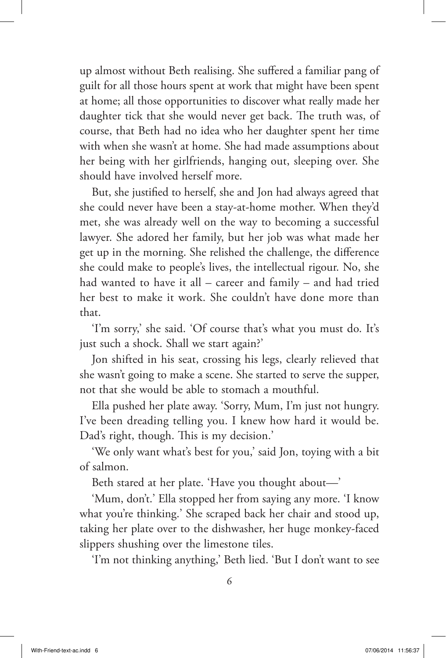up almost without Beth realising. She suffered a familiar pang of guilt for all those hours spent at work that might have been spent at home; all those opportunities to discover what really made her daughter tick that she would never get back. The truth was, of course, that Beth had no idea who her daughter spent her time with when she wasn't at home. She had made assumptions about her being with her girlfriends, hanging out, sleeping over. She should have involved herself more.

But, she justified to herself, she and Jon had always agreed that she could never have been a stay-at-home mother. When they'd met, she was already well on the way to becoming a successful lawyer. She adored her family, but her job was what made her get up in the morning. She relished the challenge, the difference she could make to people's lives, the intellectual rigour. No, she had wanted to have it all – career and family – and had tried her best to make it work. She couldn't have done more than that.

'I'm sorry,' she said. 'Of course that's what you must do. It's just such a shock. Shall we start again?'

Jon shifted in his seat, crossing his legs, clearly relieved that she wasn't going to make a scene. She started to serve the supper, not that she would be able to stomach a mouthful.

Ella pushed her plate away. 'Sorry, Mum, I'm just not hungry. I've been dreading telling you. I knew how hard it would be. Dad's right, though. This is my decision.'

'We only want what's best for you,' said Jon, toying with a bit of salmon.

Beth stared at her plate. 'Have you thought about—'

'Mum, don't.' Ella stopped her from saying any more. 'I know what you're thinking.' She scraped back her chair and stood up, taking her plate over to the dishwasher, her huge monkey-faced slippers shushing over the limestone tiles.

'I'm not thinking anything,' Beth lied. 'But I don't want to see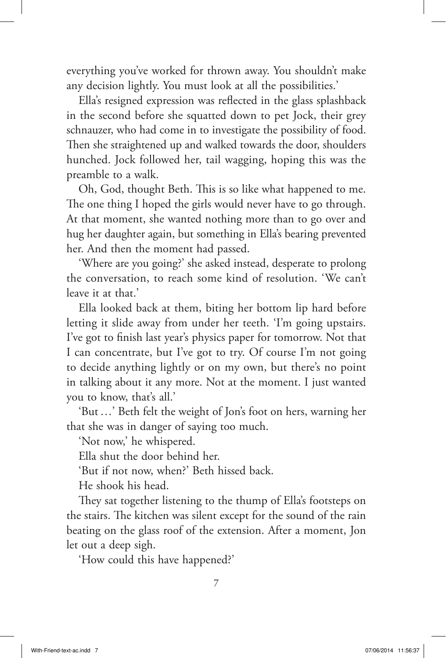everything you've worked for thrown away. You shouldn't make any decision lightly. You must look at all the possibilities.'

Ella's resigned expression was reflected in the glass splashback in the second before she squatted down to pet Jock, their grey schnauzer, who had come in to investigate the possibility of food. Then she straightened up and walked towards the door, shoulders hunched. Jock followed her, tail wagging, hoping this was the preamble to a walk.

Oh, God, thought Beth. This is so like what happened to me. The one thing I hoped the girls would never have to go through. At that moment, she wanted nothing more than to go over and hug her daughter again, but something in Ella's bearing prevented her. And then the moment had passed.

'Where are you going?' she asked instead, desperate to prolong the conversation, to reach some kind of resolution. 'We can't leave it at that.'

Ella looked back at them, biting her bottom lip hard before letting it slide away from under her teeth. 'I'm going upstairs. I've got to finish last year's physics paper for tomorrow. Not that I can concentrate, but I've got to try. Of course I'm not going to decide anything lightly or on my own, but there's no point in talking about it any more. Not at the moment. I just wanted you to know, that's all.'

'But…' Beth felt the weight of Jon's foot on hers, warning her that she was in danger of saying too much.

'Not now,' he whispered.

Ella shut the door behind her.

'But if not now, when?' Beth hissed back.

He shook his head.

They sat together listening to the thump of Ella's footsteps on the stairs. The kitchen was silent except for the sound of the rain beating on the glass roof of the extension. After a moment, Jon let out a deep sigh.

'How could this have happened?'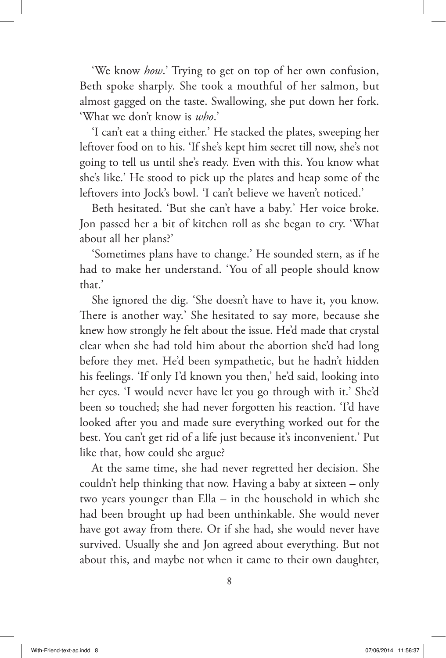'We know *how*.' Trying to get on top of her own confusion, Beth spoke sharply. She took a mouthful of her salmon, but almost gagged on the taste. Swallowing, she put down her fork. 'What we don't know is *who*.'

'I can't eat a thing either.' He stacked the plates, sweeping her leftover food on to his. 'If she's kept him secret till now, she's not going to tell us until she's ready. Even with this. You know what she's like.' He stood to pick up the plates and heap some of the leftovers into Jock's bowl. 'I can't believe we haven't noticed.'

Beth hesitated. 'But she can't have a baby.' Her voice broke. Jon passed her a bit of kitchen roll as she began to cry. 'What about all her plans?'

'Sometimes plans have to change.' He sounded stern, as if he had to make her understand. 'You of all people should know that.'

She ignored the dig. 'She doesn't have to have it, you know. There is another way.' She hesitated to say more, because she knew how strongly he felt about the issue. He'd made that crystal clear when she had told him about the abortion she'd had long before they met. He'd been sympathetic, but he hadn't hidden his feelings. 'If only I'd known you then,' he'd said, looking into her eyes. 'I would never have let you go through with it.' She'd been so touched; she had never forgotten his reaction. 'I'd have looked after you and made sure everything worked out for the best. You can't get rid of a life just because it's inconvenient.' Put like that, how could she argue?

At the same time, she had never regretted her decision. She couldn't help thinking that now. Having a baby at sixteen – only two years younger than Ella – in the household in which she had been brought up had been unthinkable. She would never have got away from there. Or if she had, she would never have survived. Usually she and Jon agreed about everything. But not about this, and maybe not when it came to their own daughter,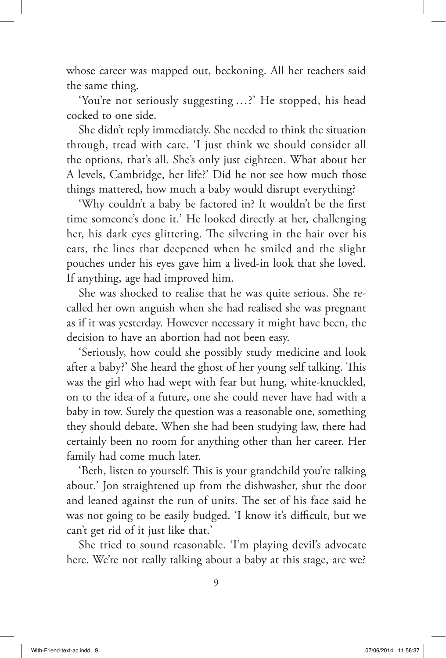whose career was mapped out, beckoning. All her teachers said the same thing.

'You're not seriously suggesting …?' He stopped, his head cocked to one side.

She didn't reply immediately. She needed to think the situation through, tread with care. 'I just think we should consider all the options, that's all. She's only just eighteen. What about her A levels, Cambridge, her life?' Did he not see how much those things mattered, how much a baby would disrupt everything?

'Why couldn't a baby be factored in? It wouldn't be the first time someone's done it.' He looked directly at her, challenging her, his dark eyes glittering. The silvering in the hair over his ears, the lines that deepened when he smiled and the slight pouches under his eyes gave him a lived-in look that she loved. If anything, age had improved him.

She was shocked to realise that he was quite serious. She recalled her own anguish when she had realised she was pregnant as if it was yesterday. However necessary it might have been, the decision to have an abortion had not been easy.

'Seriously, how could she possibly study medicine and look after a baby?' She heard the ghost of her young self talking. This was the girl who had wept with fear but hung, white-knuckled, on to the idea of a future, one she could never have had with a baby in tow. Surely the question was a reasonable one, something they should debate. When she had been studying law, there had certainly been no room for anything other than her career. Her family had come much later.

'Beth, listen to yourself. This is your grandchild you're talking about.' Jon straightened up from the dishwasher, shut the door and leaned against the run of units. The set of his face said he was not going to be easily budged. 'I know it's difficult, but we can't get rid of it just like that.'

She tried to sound reasonable. 'I'm playing devil's advocate here. We're not really talking about a baby at this stage, are we?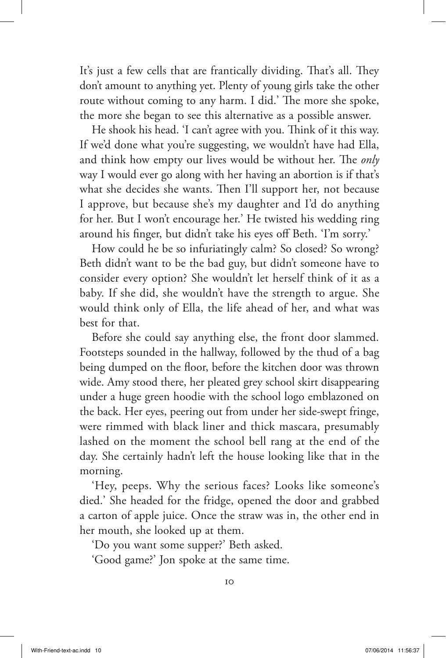It's just a few cells that are frantically dividing. That's all. They don't amount to anything yet. Plenty of young girls take the other route without coming to any harm. I did.' The more she spoke, the more she began to see this alternative as a possible answer.

He shook his head. 'I can't agree with you. Think of it this way. If we'd done what you're suggesting, we wouldn't have had Ella, and think how empty our lives would be without her. The *only* way I would ever go along with her having an abortion is if that's what she decides she wants. Then I'll support her, not because I approve, but because she's my daughter and I'd do anything for her. But I won't encourage her.' He twisted his wedding ring around his finger, but didn't take his eyes off Beth. 'I'm sorry.'

How could he be so infuriatingly calm? So closed? So wrong? Beth didn't want to be the bad guy, but didn't someone have to consider every option? She wouldn't let herself think of it as a baby. If she did, she wouldn't have the strength to argue. She would think only of Ella, the life ahead of her, and what was best for that.

Before she could say anything else, the front door slammed. Footsteps sounded in the hallway, followed by the thud of a bag being dumped on the floor, before the kitchen door was thrown wide. Amy stood there, her pleated grey school skirt disappearing under a huge green hoodie with the school logo emblazoned on the back. Her eyes, peering out from under her side-swept fringe, were rimmed with black liner and thick mascara, presumably lashed on the moment the school bell rang at the end of the day. She certainly hadn't left the house looking like that in the morning.

'Hey, peeps. Why the serious faces? Looks like someone's died.' She headed for the fridge, opened the door and grabbed a carton of apple juice. Once the straw was in, the other end in her mouth, she looked up at them.

'Do you want some supper?' Beth asked.

'Good game?' Jon spoke at the same time.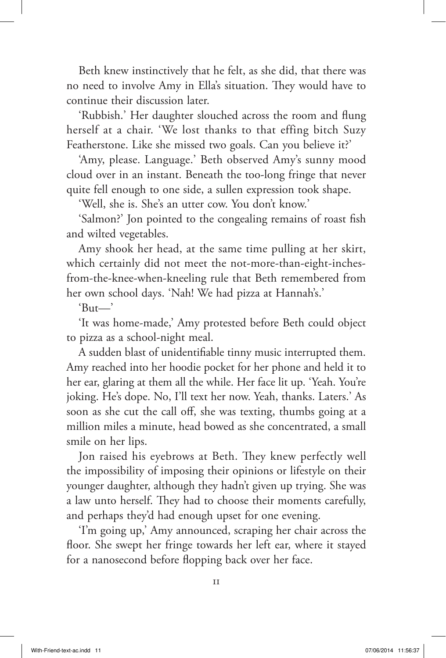Beth knew instinctively that he felt, as she did, that there was no need to involve Amy in Ella's situation. They would have to continue their discussion later.

'Rubbish.' Her daughter slouched across the room and flung herself at a chair. 'We lost thanks to that effing bitch Suzy Featherstone. Like she missed two goals. Can you believe it?'

'Amy, please. Language.' Beth observed Amy's sunny mood cloud over in an instant. Beneath the too-long fringe that never quite fell enough to one side, a sullen expression took shape.

'Well, she is. She's an utter cow. You don't know.'

'Salmon?' Jon pointed to the congealing remains of roast fish and wilted vegetables.

Amy shook her head, at the same time pulling at her skirt, which certainly did not meet the not-more-than-eight-inchesfrom-the-knee-when-kneeling rule that Beth remembered from her own school days. 'Nah! We had pizza at Hannah's.'

'But—'

'It was home-made,' Amy protested before Beth could object to pizza as a school-night meal.

A sudden blast of unidentifiable tinny music interrupted them. Amy reached into her hoodie pocket for her phone and held it to her ear, glaring at them all the while. Her face lit up. 'Yeah. You're joking. He's dope. No, I'll text her now. Yeah, thanks. Laters.' As soon as she cut the call off, she was texting, thumbs going at a million miles a minute, head bowed as she concentrated, a small smile on her lips.

Jon raised his eyebrows at Beth. They knew perfectly well the impossibility of imposing their opinions or lifestyle on their younger daughter, although they hadn't given up trying. She was a law unto herself. They had to choose their moments carefully, and perhaps they'd had enough upset for one evening.

'I'm going up,' Amy announced, scraping her chair across the floor. She swept her fringe towards her left ear, where it stayed for a nanosecond before flopping back over her face.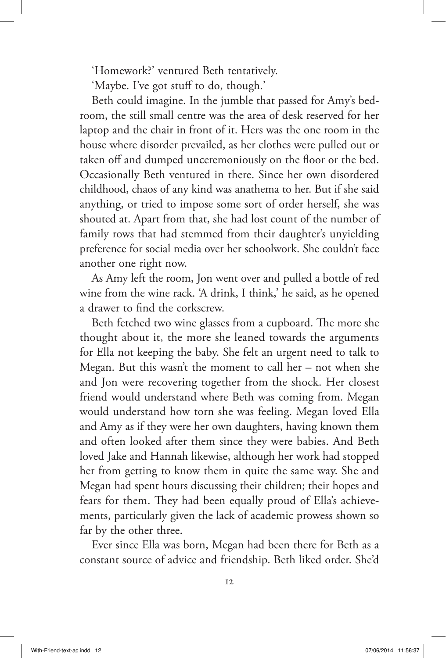'Homework?' ventured Beth tentatively.

'Maybe. I've got stuff to do, though.'

Beth could imagine. In the jumble that passed for Amy's bedroom, the still small centre was the area of desk reserved for her laptop and the chair in front of it. Hers was the one room in the house where disorder prevailed, as her clothes were pulled out or taken off and dumped unceremoniously on the floor or the bed. Occasionally Beth ventured in there. Since her own disordered childhood, chaos of any kind was anathema to her. But if she said anything, or tried to impose some sort of order herself, she was shouted at. Apart from that, she had lost count of the number of family rows that had stemmed from their daughter's unyielding preference for social media over her schoolwork. She couldn't face another one right now.

As Amy left the room, Jon went over and pulled a bottle of red wine from the wine rack. 'A drink, I think,' he said, as he opened a drawer to find the corkscrew.

Beth fetched two wine glasses from a cupboard. The more she thought about it, the more she leaned towards the arguments for Ella not keeping the baby. She felt an urgent need to talk to Megan. But this wasn't the moment to call her – not when she and Jon were recovering together from the shock. Her closest friend would understand where Beth was coming from. Megan would understand how torn she was feeling. Megan loved Ella and Amy as if they were her own daughters, having known them and often looked after them since they were babies. And Beth loved Jake and Hannah likewise, although her work had stopped her from getting to know them in quite the same way. She and Megan had spent hours discussing their children; their hopes and fears for them. They had been equally proud of Ella's achievements, particularly given the lack of academic prowess shown so far by the other three.

Ever since Ella was born, Megan had been there for Beth as a constant source of advice and friendship. Beth liked order. She'd